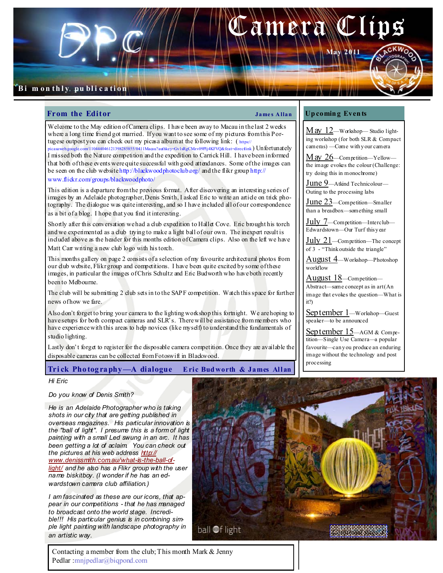

### From the Editor  $\qquad \qquad \qquad \qquad \qquad \qquad \qquad \qquad \qquad \text{James Allan}$

Welcome to the May edition of Camera clips. I have been away to Macau in the last 2 weeks where a long time friend got married. If you want to see some of my pictures from this Portugese outpost you can check out my picasa album at the following link:  $(\frac{h_{\text{trps}}}{h_{\text{trps}}})$ 

picasaweb.google.com/110444046121398285855/0411Macau?authkey=Gv1sRgCMzv09Plj4KFVQ&feat=directlink) Unfortunately I missed both the Nature competition and the expedition to Carrick Hill. I have been informed that both of these events were quite successful with good attendances. Some of the images can be seen on the club website http://blackwoodphotoclub.org/ and the flikr group http:// www.flickr.com/groups/blackwoodphoto/

This edition is a departure from the previous format. After discovering an interesting series of images by an Adelaide photographer, Denis Smith, I asked Eric to write an article on trick photography. The dialogue was quite interesting, and so I have included all of our correspondence as a bit of a blog. I hope that you find it interesting.

Shortly after this conversation we had a club expedition to Hallet Cove. Eric brought his torch and we experimented as a club trying to make a light ball of our own. The inexpert result is included above as the header for this months edition of Camera clips. Also on the left we have Matt Carr writing a new club logo with his torch.

This months gallery on page 2 consists of a selection of my favourite architectural photos from our club website, Flikr group and competitions. I have been quite excited by some of these images, in particular the images of Chris Schultz and Eric Budworth who have both recently been to Melbourne.

The club will be submitting 2 club sets in to the SAPF competition. Watch this space for further news of how we fare.

Also don't forget to bring your camera to the lighting workshop this fortnight. We are hoping to have setups for both compact cameras and SLR's. There will be assistance from members who have experience with this areas to help novices (like myself) to understand the fundamentals of studio lighting.

Lastly don't forget to register for the disposable camera competition. Once they are available the disposable cameras can be collected from Fotoswift in Blackwood.

Tri ck Pho tog ra phy —A dialogue E ric Bud worth & James Allan

### Up comin g Even ts

 $M$   $\alpha$   $12$ —Workshop— Studio lighting workshop (for both SLR & Compact cameras) —Come with y our camera

May 26—Competition—Yellow the image evokes the colour (Challenge: try doing this in monochrome)

June 9—Atkind Technicolour— Outing to the processing labs

June 23—Competition—Smaller than a breadbox—something small

July 7—Competition—Interclub— Edwardstown—Our Turf this y ear

 $July 21$ —Competition—The concept of 3 - "Think outside the triangle"

August 4—Workshop—Photoshop workflow

August 18-Competition-

Abstract—same concept as in art (An image that evokes the question—What is it?)

September 1—Workshop—Guest speaker—to be announced

September 15—AGM & Competition—Single Use Camera—a popular favourite—can y ou produce an enduring image without the technology and post processing

#### Hi Eric

Do you know of Denis Smith?

He is an Adelaide Photographer who is taking shots in our city that are getting published in overseas magazines. His particular innovation is the "ball of light". I presume this is a form of light painting with a small Led swung in an arc. It has been getting a lot of aclaim You can check out the pictures at his web address http:// www.denissmith.com.au/what-is-the-ball-oflight/ and he also has a Flikr group with the user name biskitboy. (I wonder if he has an edwardstown camera club affiliation.)

I am fascinated as these are our icons, that appear in our competitions - that he has managed to broadcast onto the world stage. Incredible!!! His particular genius is in combining simple light painting with landscape photography in an artistic way.



Contacting a member from the club; This month Mark & Jenny Pedlar :mnjpedlar@biqpond.com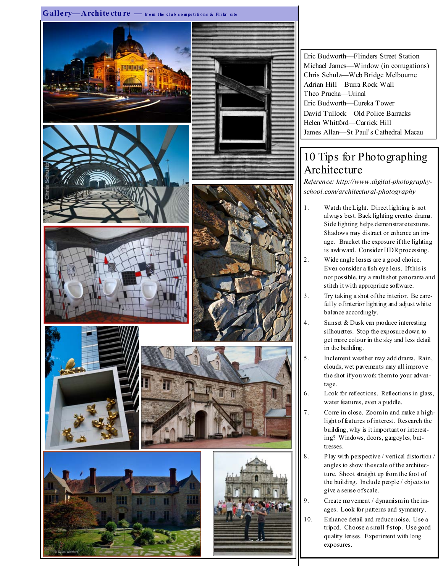

Eric Budworth—Flinders Street Station Michael James—Window (in corrugations) Chris Schulz—Web Bridge Melbourne Adrian Hill—Burra Rock Wall Theo Prucha—Urinal Eric Budworth—Eureka Tower David Tullock—Old Police Barracks Helen Whitford—Carrick Hill James Allan—St Paul's Cathedral Macau

# 10 Tips for Photographing Architecture

Reference: http://www.digital-photographyschool.com/architectural-photography

- 1. Watch the Light. Direct lighting is not always best. Back lighting creates drama. Side lighting helps demonstrate textures. Shadows may distract or enhance an image. Bracket the exposure if the lighting is awkward. Consider HDR processing.
- Wide angle lenses are a good choice. Even consider a fish eye lens. If this is not possible, try a multishot panorama and stitch it with appropriate software.
- 3. Try taking a shot of the interior. Be carefully of interior lighting and adjust white balance accordingly.
- 4. Sunset & Dusk can produce interesting silhouettes. Stop the exposure down to get more colour in the sky and less detail in the building.
- 5. Inclement weather may add drama. Rain, clouds, wet pavements may all improve the shot if you work them to your advantage.
- 6. Look for reflections. Reflections in glass, water features, even a puddle.
- 7. Come in close. Zoom in and make a highlight of features of interest. Research the building, why is it important or interesting? Windows, doors, gargoyles, buttresses.
- 8. Play with perspective / vertical distortion / angles to show the scale of the architecture. Shoot straight up from the foot of the building. Include people / objects to give a sense of scale.
- 9. Create movement / dynamism in the images. Look for patterns and symmetry.
- 10. Enhance detail and reduce noise. Use a tripod. Choose a small f-stop. Use good quality lenses. Experiment with long exposures.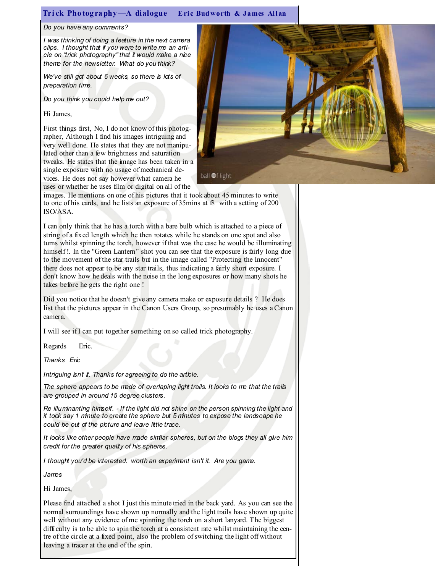## Trick Photography-A dialogue Eric Budworth & James Allan

#### Do you have any comments?

I was thinking of doing a feature in the next camera clips. I thought that if you were to write me an article on "trick photography" that it would make a nice theme for the newsletter. What do you think?

We've still got about 6 weeks, so there is lots of preparation time.

Do you think you could help me out?

Hi James,

First things first, No, I do not know of this photographer, Although I find his images intriguing and very well done. He states that they are not manipulated other than a few brightness and saturation tweaks. He states that the image has been taken in a single exposure with no usage of mechanical devices. He does not say however what camera he uses or whether he uses film or digital on all of the



images. He mentions on one of his pictures that it took about 45 minutes to write to one of his cards, and he lists an exposure of 35mins at f8 with a setting of 200 ISO/ASA.

I can only think that he has a torch with a bare bulb which is attached to a piece of string of a fixed length which he then rotates while he stands on one spot and also turns whilst spinning the torch, however if that was the case he would be illuminating himself! In the "Green Lantern" shot you can see that the exposure is fairly long due to the movement of the star trails but in the image called "Protecting the Innocent" there does not appear to be any star trails, thus indicating a fairly short exposure. I don't know how he deals with the noise in the long exposures or how many shots he takes before he gets the right one !

Did you notice that he doesn't give any camera make or exposure details ? He does list that the pictures appear in the Canon Users Group, so presumably he uses a Canon camera.

I will see if I can put together something on so called trick photography.

Regards Eric.

Thanks Eric

Intriguing isn't it. Thanks for agreeing to do the article.

The sphere appears to be made of overlaping light trails. It looks to me that the trails are grouped in around 15 degree clusters.

Re illuminanting himself. - If the light did not shine on the person spinning the light and it took say 1 minute to create the sphere but 5 minutes to expose the landscape he could be out of the picture and leave little trace.

It looks like other people have made similar spheres, but on the blogs they all give him credit for the greater quality of his spheres.

I thought you'd be interested. worth an experiment isn't it. Are you game.

James

Hi James,

Please find attached a shot I just this minute tried in the back yard. As you can see the normal surroundings have shown up normally and the light trails have shown up quite well without any evidence of me spinning the torch on a short lanyard. The biggest difficulty is to be able to spin the torch at a consistent rate whilst maintaining the centre of the circle at a fixed point, also the problem of switching the light off without leaving a tracer at the end of the spin.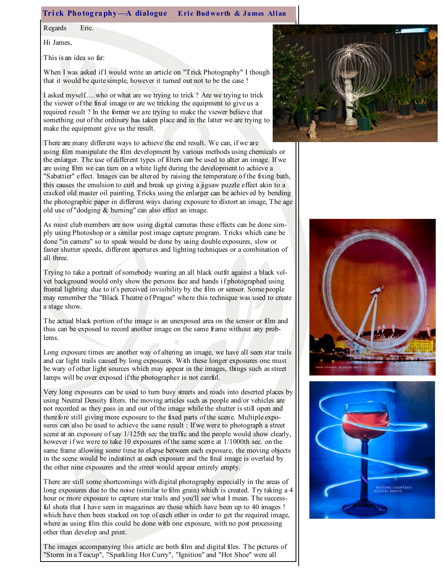#### Trick Photography-A dialogue Eric Budworth & James Allan

Regards Eric.

Hi James,

This is an idea so far:

When I was asked if I would write an article on "Trick Photography" I though that it would be quite simple, however it turned out not to be the case !

I asked myself.....who or what are we trying to trick ? Are we trying to trick the viewer of the final image or are we tricking the equipment to give us a required result ? In the former we are trying to make the viewer believe that something out of the ordinary has taken place and in the latter we are trying to make the equipment give us the result.

There are many different ways to achieve the end result. We can, if we are using film manipulate the film development by various methods using chemicals or the enlarger. The use of different types of filters can be used to alter an image. If we are using film we can turn on a white light during the development to achieve a "Sabattier" effect. Images can be altered by raising the temperature of the fixing bath, this causes the emulsion to curl and break up giving a jigsaw puzzle effect akin to a cracked old master oil painting. Tricks using the enlarger can be achieved by bending the photographic paper in different ways during exposure to distort an image, The age old use of "dodging & burning" can also effect an image.

As most club members are now using digital cameras these effects can be done simply using Photoshop or a similar post image capture program. Tricks which cane be done "in camera" so to speak would be done by using double exposures, slow or faster shutter speeds, different apertures and lighting techniques or a combination of all three.

Trying to take a portrait of somebody wearing an all black outfit against a black velvet background would only show the persons face and hands if photographed using frontal lighting due to it's perceived invisibility by the film or sensor. Some people may remember the "Black Theatre of Prague" where this technique was used to create a stage show.

The actual black portion of the image is an unexposed area on the sensor or film and thus can be exposed to record another image on the same frame without any problems.

Long exposure times are another way of altering an image, we have all seen star trails and car light trails caused by long exposures. With these longer exposures one must be wary of other light sources which may appear in the images, things such as street lamps will be over exposed if the photographer is not careful.

Very long exposures can be used to turn busy streets and roads into deserted places by using Neutral Density filters. the moving articles such as people and/or vehicles are not recorded as they pass in and out of the image while the shutter is still open and therefore still giving more exposure to the fixed parts of the scene. Multiple exposures can also be used to achieve the same result : If we were to photograph a street scene at an exposure of say 1/125th sec the traffic and the people would show clearly, however if we were to take 10 exposures of the same scene at 1/1000th sec. on the same frame allowing some time to elapse between each exposure, the moving objects in the scene would be indistinct at each exposure and the final image is overlaid by the other nine exposures and the street would appear entirely empty.

There are still some shortcomings with digital photography especially in the areas of long exposures due to the noise (similar to film grain) which is created. Try taking a 4 hour or more exposure to capture star trails and you'll see what I mean. The successful shots that I have seen in magazines are those which have been up to 40 images ! which have then been stacked on top of each other in order to get the required image, where as using film this could be done with one exposure, with no post processing other than develop and print.

The images accompanying this article are both film and digital files. The pictures of "Storm in a Teacup", "Sparkling Hot Curry", "Ignition" and "Hot Shoe" were all



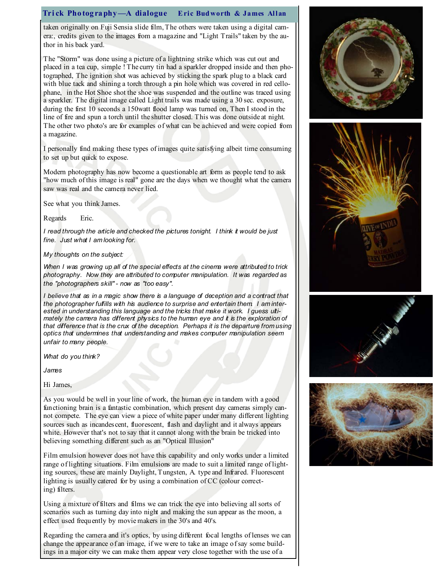# Trick Photography—A dialogue Eric Budworth & James Allan

taken originally on Fuji Sensia slide film, The others were taken using a digital camera:, credits given to the images from a magazine and "Light Trails" taken by the author in his back yard.

The "Storm" was done using a picture of a lightning strike which was cut out and placed in a tea cup, simple ! The curry tin had a sparkler dropped inside and then photographed, The ignition shot was achieved by sticking the spark plug to a black card with blue tack and shining a torch through a pin hole which was covered in red cellophane, in the Hot Shoe shot the shoe was suspended and the outline was traced using a sparkler. The digital image called Light trails was made using a 30 sec. exposure, during the first 10 seconds a 150watt flood lamp was turned on, Then I stood in the line of fire and spun a torch until the shutter closed. This was done outside at night. The other two photo's are for examples of what can be achieved and were copied from a magazine.

I personally find making these types of images quite satisfying albeit time consuming to set up but quick to expose.

Modern photography has now become a questionable art form as people tend to ask "how much of this image is real" gone are the days when we thought what the camera saw was real and the camera never lied.

See what you think James.

Regards Eric.

I read through the article and checked the pictures tonight. I think it would be just fine. Just what I am looking for.

My thoughts on the subject:

When I was growing up all of the special effects at the cinema were attributed to trick photography. Now they are attributed to computer manipulation. It was regarded as the "photographers skill" - now as "too easy".

I believe that as in a magic show there is a language of deception and a contract that the photographer fulfills with his audience to surprise and entertain them. I am interested in understanding this language and the tricks that make it work. I guess ultimately the camera has different physics to the human eye and it is the exploration of that difference that is the crux of the deception. Perhaps it is the departure from using optics that undermines that understanding and makes computer manipulation seem unfair to many people.

What do you think?

James

Hi James,

As you would be well in your line of work, the human eye in tandem with a good functioning brain is a fantastic combination, which present day cameras simply cannot compete. The eye can view a piece of white paper under many different lighting sources such as incandescent, fluorescent, flash and daylight and it always appears white. However that's not to say that it cannot along with the brain be tricked into believing something different such as an "Optical Illusion"

Film emulsion however does not have this capability and only works under a limited range of lighting situations. Film emulsions are made to suit a limited range of lighting sources, these are mainly Daylight, Tungsten, A. type and Infrared. Fluorescent lighting is usually catered for by using a combination of CC (colour correcting) filters.

Using a mixture of filters and films we can trick the eye into believing all sorts of scenarios such as turning day into night and making the sun appear as the moon, a effect used frequently by movie makers in the 30's and 40's.

Regarding the camera and it's optics, by using different focal lengths of lenses we can change the appearance of an image, if we were to take an image of say some buildings in a major city we can make them appear very close together with the use of a